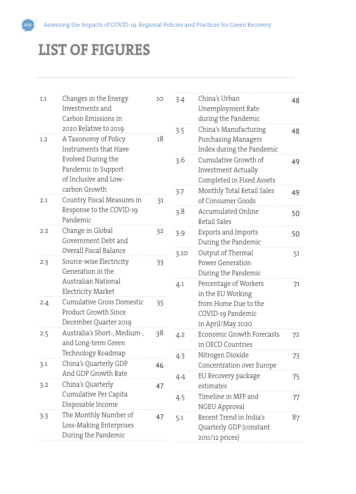## **LIST OF FIGURES**

| 1.1                                                                                                                               | Changes in the Energy<br>Investments and<br>Carbon Emissions in                     | 10 | 3.4  | China's Urban<br>Unemployment Rate<br>during the Pandemic                 | 48 |  |
|-----------------------------------------------------------------------------------------------------------------------------------|-------------------------------------------------------------------------------------|----|------|---------------------------------------------------------------------------|----|--|
| 1.2<br>2.1                                                                                                                        | 2020 Relative to 2019<br>A Taxonomy of Policy<br>Instruments that Have              | 18 | 3.5  | China's Manufacturing<br>Purchasing Managers<br>Index during the Pandemic | 48 |  |
|                                                                                                                                   | Evolved During the<br>Pandemic in Support<br>of Inclusive and Low-                  |    | 3.6  | Cumulative Growth of<br>Investment Actually<br>Completed in Fixed Assets  | 49 |  |
|                                                                                                                                   | carbon Growth<br>Country Fiscal Measures in<br>Response to the COVID-19<br>Pandemic | 31 | 3.7  | Monthly Total Retail Sales<br>of Consumer Goods                           |    |  |
|                                                                                                                                   |                                                                                     |    | 3.8  | Accumulated Online<br>Retail Sales                                        | 50 |  |
| 2.2                                                                                                                               | Change in Global<br>Government Debt and                                             | 32 | 3.9  | Exports and Imports<br>During the Pandemic                                | 50 |  |
| Overall Fiscal Balance<br>Source-wise Electricity<br>2.3<br>Generation in the<br>Australian National<br><b>Electricity Market</b> |                                                                                     | 33 | 3.10 | Output of Thermal<br>Power Generation<br>During the Pandemic              | 51 |  |
|                                                                                                                                   |                                                                                     |    | 4.1  | Percentage of Workers<br>in the EU Working                                | 71 |  |
| 2.4                                                                                                                               | Cumulative Gross Domestic<br>Product Growth Since<br>December Quarter 2019          | 35 |      | from Home Due to the<br>COVID-19 Pandemic<br>in April/May 2020            |    |  |
| 2.5                                                                                                                               | Australia's Short-, Medium-,<br>and Long-term Green                                 | 38 | 4.2  | Economic Growth Forecasts<br>in OECD Countries                            | 72 |  |
| 3.1                                                                                                                               | Technology Roadmap<br>China's Quarterly GDP<br>And GDP Growth Rate                  | 46 | 4.3  | Nitrogen Dioxide<br>Concentration over Europe                             | 73 |  |
| 3.2                                                                                                                               | China's Quarterly                                                                   | 47 | 4.4  | EU Recovery package<br>estimates                                          | 75 |  |
|                                                                                                                                   | Cumulative Per Capita<br>Disposable Income                                          |    | 4.5  | Timeline in MFF and<br>NGEU Approval                                      | 77 |  |
| 3.3                                                                                                                               | The Monthly Number of<br>Loss-Making Enterprises<br>During the Pandemic             | 47 | 5.1  | Recent Trend in India's<br>Quarterly GDP (constant<br>2011/12 prices)     | 87 |  |
|                                                                                                                                   |                                                                                     |    |      |                                                                           |    |  |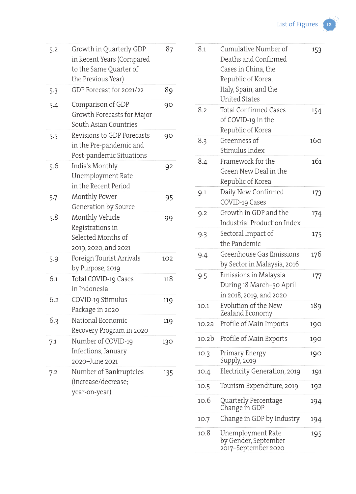List of Figures **ix** 

| 5.2 | Growth in Quarterly GDP<br>in Recent Years (Compared<br>to the Same Quarter of<br>the Previous Year) | 87  |
|-----|------------------------------------------------------------------------------------------------------|-----|
| 5.3 | GDP Forecast for 2021/22                                                                             | 89  |
| 5.4 | Comparison of GDP<br>Growth Forecasts for Major<br>South Asian Countries                             | 90  |
| 5.5 | Revisions to GDP Forecasts<br>in the Pre-pandemic and<br>Post-pandemic Situations                    | 90  |
| 5.6 | India's Monthly<br>Unemployment Rate<br>in the Recent Period                                         | 92  |
| 5.7 | Monthly Power<br>Generation by Source                                                                | 95  |
| 5.8 | Monthly Vehicle<br>Registrations in<br>Selected Months of<br>2019, 2020, and 2021                    | 99  |
| 5.9 | Foreign Tourist Arrivals<br>by Purpose, 2019                                                         | 102 |
| 6.1 | Total COVID-19 Cases<br>in Indonesia                                                                 | 118 |
| 6.2 | COVID-19 Stimulus<br>Package in 2020                                                                 | 119 |
| 6.3 | National Economic<br>Recovery Program in 2020                                                        | 119 |
| 7.1 | Number of COVID-19<br>Infections, January<br>2020-June 2021                                          | 130 |
| 7.2 | Number of Bankruptcies<br>(increase/decrease;<br>year-on-year)                                       | 135 |

| 8.1   | Cumulative Number of<br>Deaths and Confirmed<br>Cases in China, the<br>Republic of Korea,<br>Italy, Spain, and the<br><b>United States</b> | 153 |
|-------|--------------------------------------------------------------------------------------------------------------------------------------------|-----|
| 8.2   | <b>Total Confirmed Cases</b><br>of COVID-19 in the<br>Republic of Korea                                                                    | 154 |
| 8.3   | Greenness of<br>Stimulus Index                                                                                                             | 160 |
| 8.4   | Framework for the<br>Green New Deal in the<br>Republic of Korea                                                                            | 161 |
| 9.1   | Daily New Confirmed<br>COVID-19 Cases                                                                                                      | 173 |
| 9.2   | Growth in GDP and the<br><b>Industrial Production Index</b>                                                                                | 174 |
| 9.3   | Sectoral Impact of<br>the Pandemic                                                                                                         | 175 |
| 9.4   | Greenhouse Gas Emissions<br>by Sector in Malaysia, 2016                                                                                    | 176 |
| 9.5   | Emissions in Malaysia<br>During 18 March-30 April<br>in 2018, 2019, and 2020                                                               | 177 |
| 10.1  | Evolution of the New<br>Zealand Economy                                                                                                    | 189 |
| 10.2a | Profile of Main Imports                                                                                                                    | 190 |
| 10.2b | Profile of Main Exports                                                                                                                    | 190 |
| 10.3  | Primary Energy<br>Supply, 2019                                                                                                             | 190 |
| 10.4  | Electricity Generation, 2019                                                                                                               | 191 |
| 10.5  | Tourism Expenditure, 2019                                                                                                                  | 192 |
| 10.6  | Quarterly Percentage<br>Change in GDP                                                                                                      | 194 |
| 10.7  | Change in GDP by Industry                                                                                                                  | 194 |
| 10.8  | Unemployment Rate<br>by Gender, September<br>2017–September 2020                                                                           | 195 |

Ģ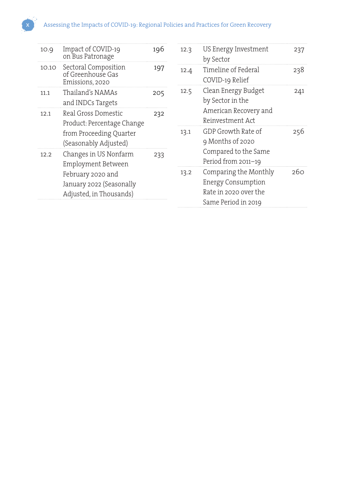## Assessing the Impacts of COVID-19: Regional Policies and Practices for Green Recovery

237

238

241

256

260

| 10.9  | Impact of COVID-19<br>on Bus Patronage                                   | 196 | 12.3 | US Energy Investment<br>by Sector                                                                  |
|-------|--------------------------------------------------------------------------|-----|------|----------------------------------------------------------------------------------------------------|
| 10.10 | Sectoral Composition<br>of Greenhouse Gas<br>Emissions, 2020             | 197 | 12.4 | Timeline of Federal<br>COVID-19 Relief                                                             |
| 11.1  | Thailand's NAMAs<br>and INDCs Targets                                    | 205 | 12.5 | Clean Energy Budget<br>by Sector in the                                                            |
| 12.1  | Real Gross Domestic<br>Product: Percentage Change                        | 232 |      | American Recovery and<br>Reinvestment Act                                                          |
|       | from Proceeding Quarter<br>(Seasonably Adjusted)                         |     | 13.1 | GDP Growth Rate of<br>9 Months of 2020                                                             |
| 12.2  | Changes in US Nonfarm<br>Employment Between                              | 233 |      | Compared to the Same<br>Period from 2011-19                                                        |
|       | February 2020 and<br>January 2022 (Seasonally<br>Adjusted, in Thousands) |     | 13.2 | Comparing the Monthly<br><b>Energy Consumption</b><br>Rate in 2020 over the<br>Same Period in 2019 |

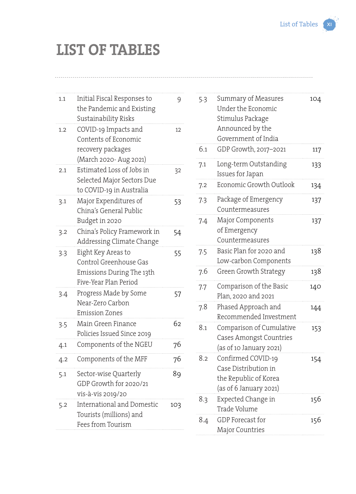## **LIST OF TABLES**

| 1.1 | Initial Fiscal Responses to<br>the Pandemic and Existing<br>Sustainability Risks                   | 9   |
|-----|----------------------------------------------------------------------------------------------------|-----|
| 1.2 | COVID-19 Impacts and<br>Contents of Economic<br>recovery packages<br>(March 2020- Aug 2021)        | 12  |
| 2.1 | Estimated Loss of Jobs in<br>Selected Major Sectors Due<br>to COVID-19 in Australia                | 32  |
| 3.1 | Major Expenditures of<br>China's General Public<br>Budget in 2020                                  | 53  |
| 3.2 | China's Policy Framework in<br>Addressing Climate Change                                           | 54  |
| 3.3 | Eight Key Areas to<br>Control Greenhouse Gas<br>Emissions During The 13th<br>Five-Year Plan Period | 55  |
| 3.4 | Progress Made by Some<br>Near-Zero Carbon<br>Emission Zones                                        | 57  |
| 3.5 | Main Green Finance<br>Policies Issued Since 2019                                                   | 62  |
| 4.1 | Components of the NGEU                                                                             | 76  |
| 4.2 | Components of the MFF                                                                              | 76  |
| 5.1 | Sector-wise Quarterly<br>GDP Growth for 2020/21<br>vis-à-vis 2019/20                               | 89  |
| 5.2 | <b>International and Domestic</b><br>Tourists (millions) and<br>Fees from Tourism                  | 103 |

| 5.3 | Summary of Measures<br>Under the Economic<br>Stimulus Package<br>Announced by the<br>Government of India | 104 |
|-----|----------------------------------------------------------------------------------------------------------|-----|
| 6.1 | GDP Growth, 2017-2021                                                                                    | 117 |
| 7.1 | Long-term Outstanding<br>Issues for Japan                                                                | 133 |
| 7.2 | Economic Growth Outlook                                                                                  | 134 |
| 7.3 | Package of Emergency<br>Countermeasures                                                                  | 137 |
| 7.4 | Major Components<br>of Emergency<br>Countermeasures                                                      | 137 |
| 7.5 | Basic Plan for 2020 and<br>Low-carbon Components                                                         | 138 |
| 7.6 | Green Growth Strategy                                                                                    | 138 |
| 7.7 | Comparison of the Basic<br>Plan, 2020 and 2021                                                           | 140 |
| 7.8 | Phased Approach and<br>Recommended Investment                                                            | 144 |
| 8.1 | Comparison of Cumulative<br>Cases Amongst Countries<br>(as of 10 January 2021)                           | 153 |
| 8.2 | Confirmed COVID-19<br>Case Distribution in<br>the Republic of Korea<br>(as of 6 January 2021)            | 154 |
| 8.3 | Expected Change in<br>Trade Volume                                                                       | 156 |
| 8.4 | GDP Forecast for<br>Major Countries                                                                      | 156 |